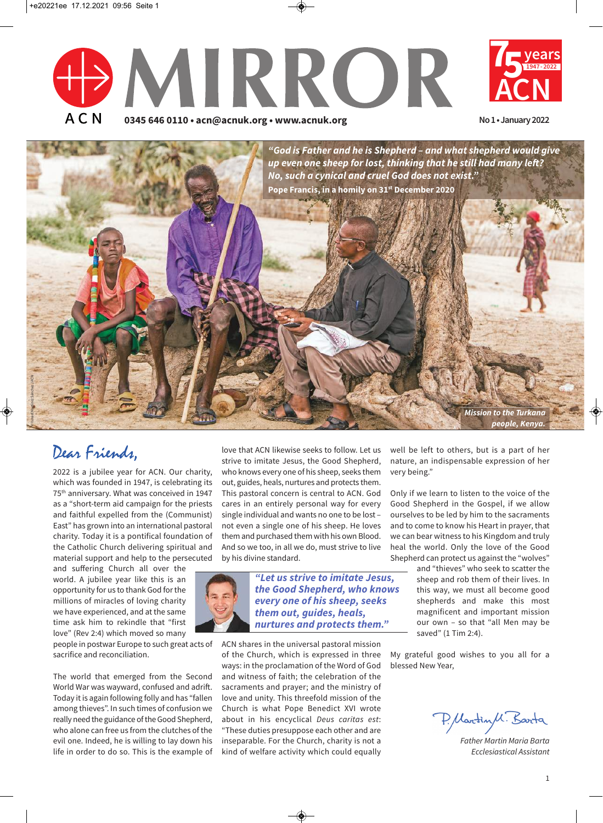





# Dear Friends,

2022 is a jubilee year for ACN. Our charity, which was founded in 1947, is celebrating its 75th anniversary. What was conceived in 1947 as a "short-term aid campaign for the priests and faithful expelled from the (Communist) East" has grown into an international pastoral charity. Today it is a pontifical foundation of the Catholic Church delivering spiritual and material support and help to the persecuted

and suffering Church all over the world. A jubilee year like this is an opportunity for us to thank God forthe millions of miracles of loving charity we have experienced, and at the same time ask him to rekindle that "first love" (Rev 2:4) which moved so many

people in postwar Europe to such great acts of sacrifice and reconciliation.

The world that emerged from the Second World War was wayward, confused and adrift. Today it is again following folly and has "fallen among thieves". In such times of confusion we really need the guidance of the Good Shepherd, who alone can free us from the clutches of the evil one. Indeed, he is willing to lay down his life in order to do so. This is the example of

love that ACN likewise seeks to follow. Let us strive to imitate Jesus, the Good Shepherd, who knows every one of his sheep, seeks them out, guides, heals, nurtures and protects them. This pastoral concern is central to ACN. God cares in an entirely personal way for every single individual and wants no one to be lost – not even a single one of his sheep. He loves them and purchased them with his own Blood. And so we too, in all we do, must strive to live by his divine standard.



*"Let us strive to imitate Jesus, the Good Shepherd, who knows every one of his sheep, seeks them out, guides, heals, nurtures and protects them."*

ACN shares in the universal pastoral mission of the Church, which is expressed in three ways: in the proclamation of the Word of God and witness of faith; the celebration of the sacraments and prayer; and the ministry of love and unity. This threefold mission of the Church is what Pope Benedict XVI wrote about in his encyclical *Deus caritas est*: "These duties presuppose each other and are inseparable. For the Church, charity is not a kind of welfare activity which could equally

well be left to others, but is a part of her nature, an indispensable expression of her very being."

Only if we learn to listen to the voice of the Good Shepherd in the Gospel, if we allow ourselves to be led by him to the sacraments and to come to know his Heart in prayer, that we can bear witness to his Kingdom and truly heal the world. Only the love of the Good Shepherd can protect us against the "wolves"

> and "thieves" who seek to scatter the sheep and rob them of their lives. In this way, we must all become good shepherds and make this most magnificent and important mission our own – so that "all Men may be saved" (1 Tim 2:4).

My grateful good wishes to you all for a blessed New Year,

P. Martin M. Barta

*Father Martin Maria Barta Ecclesiastical Assistant*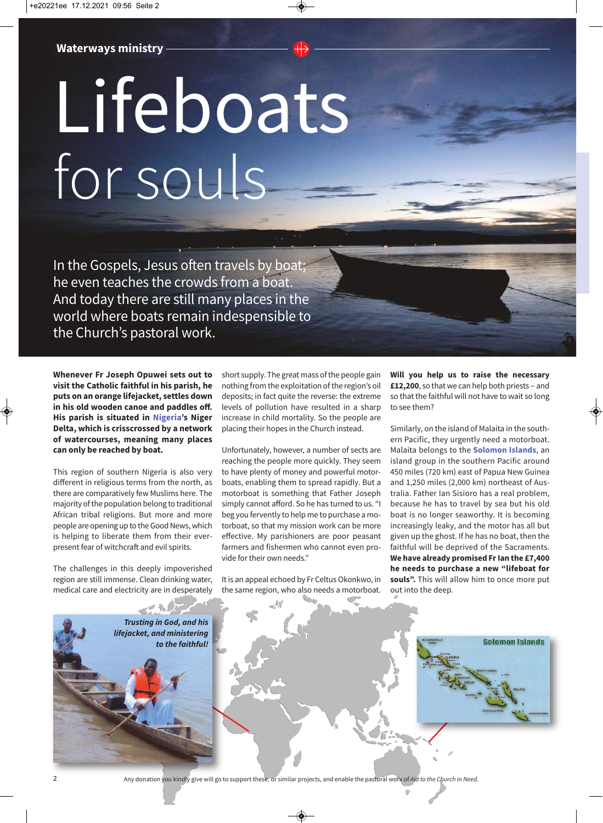# Lifeboats for souls

In the Gospels, Jesus often travels by boat; he even teaches the crowds from a boat. And today there are still many places in the world where boats remain indespensible to the Church's pastoral work.

**Whenever Fr Joseph Opuwei sets out to visit the Catholic faithful in his parish, he puts on an orange lifejacket, settles down in his old wooden canoe and paddles off. His parish is situated in Nigeria's Niger Delta, which is crisscrossed by a network of watercourses, meaning many places can only be reached by boat.**

This region of southern Nigeria is also very different in religious terms from the north, as there are comparatively few Muslims here. The majority of the population belong to traditional African tribal religions. But more and more people are opening up to the Good News, which is helping to liberate them from their everpresent fear of witchcraft and evil spirits.

The challenges in this deeply impoverished region are still immense. Clean drinking water, medical care and electricity are in desperately short supply. The great mass of the people gain nothing from the exploitation of the region's oil deposits; in fact quite the reverse: the extreme levels of pollution have resulted in a sharp increase in child mortality. So the people are placing their hopes in the Church instead.

Unfortunately, however, a number of sects are reaching the people more quickly. They seem to have plenty of money and powerful motorboats, enabling them to spread rapidly. But a motorboat is something that Father Joseph simply cannot afford. So he has turned to us. "I beg you fervently to help me to purchase a motorboat, so that my mission work can be more effective. My parishioners are poor peasant farmers and fishermen who cannot even provide for their own needs."

It is an appeal echoed by Fr Celtus Okonkwo, in the same region, who also needs a motorboat.

**Will you help us to raise the necessary £12,200**, so that we can help both priests – and so that the faithful will not have to wait so long to see them?

Similarly, on the island of Malaita in the southern Pacific, they urgently need a motorboat. Malaita belongs to the **Solomon Islands**, an island group in the southern Pacific around 450 miles (720 km) east of Papua New Guinea and 1,250 miles (2,000 km) northeast of Australia. Father Ian Sisioro has a real problem, because he has to travel by sea but his old boat is no longer seaworthy. It is becoming increasingly leaky, and the motor has all but given up the ghost. If he has no boat, then the faithful will be deprived of the Sacraments. **We have already promised FrIan the £7,400 he needs to purchase a new "lifeboat for souls".** This will allow him to once more put out into the deep.

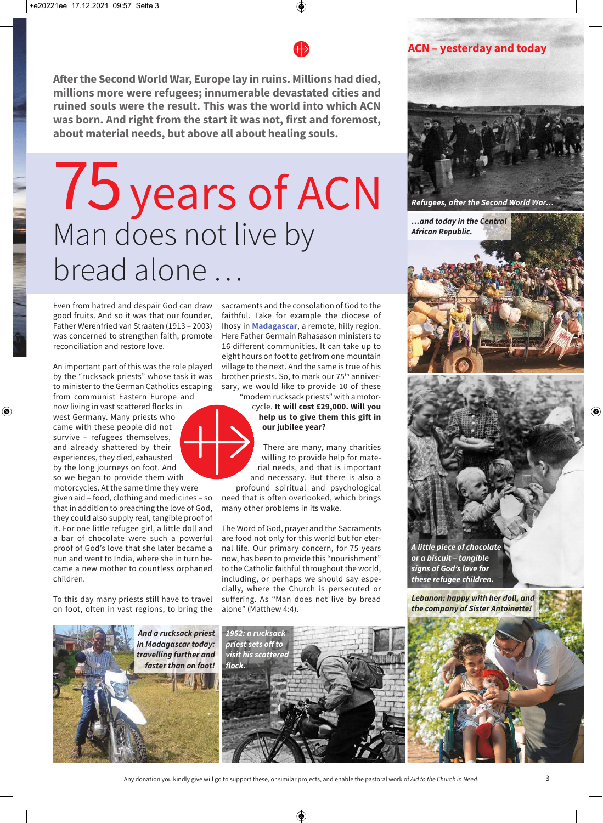**Afterthe Second World War, Europe lay in ruins. Millions had died, millions more were refugees; innumerable devastated cities and ruined souls were the result. This was the world into which ACN was born. And right from the start it was not, first and foremost, about material needs, but above all about healing souls.**

# 75years of ACN Man does not live by bread alone …

Even from hatred and despair God can draw good fruits. And so it was that our founder, Father Werenfried van Straaten (1913 – 2003) was concerned to strengthen faith, promote reconciliation and restore love.

An important part of this was the role played by the "rucksack priests" whose task it was to minister to the German Catholics escaping from communist Eastern Europe and now living in vast scattered flocks in west Germany. Many priests who came with these people did not survive – refugees themselves, and already shattered by their experiences, they died, exhausted by the long journeys on foot. And so we began to provide them with motorcycles. At the same time they were given aid – food, clothing and medicines – so

that in addition to preaching the love of God, they could also supply real, tangible proof of it. For one little refugee girl, a little doll and a bar of chocolate were such a powerful proof of God's love that she later became a nun and went to India, where she in turn became a new mother to countless orphaned children.

To this day many priests still have to travel on foot, often in vast regions, to bring the sacraments and the consolation of God to the faithful. Take for example the diocese of Ihosy in **Madagascar**, a remote, hilly region. Here Father Germain Rahasason ministers to 16 different communities. It can take up to eight hours on foot to get from one mountain village to the next. And the same is true of his brother priests. So, to mark our 75th anniversary, we would like to provide 10 of these "modern rucksack priests" with a motor-

cycle. **It will cost £29,000. Will you help us to give them this gift in our jubilee year?**

There are many, many charities willing to provide help for material needs, and that is important and necessary. But there is also a profound spiritual and psychological

need that is often overlooked, which brings many other problems in its wake.

The Word of God, prayer and the Sacraments are food not only for this world but for eternal life. Our primary concern, for 75 years now, has been to provide this "nourishment" to the Catholic faithful throughout the world, including, or perhaps we should say especially, where the Church is persecuted or suffering. As "Man does not live by bread alone" (Matthew 4:4).





*Refugees, after the Second World War…*

*…and today in the Central African Republic.*





*A little piece of chocolate or a biscuit – tangible signs of God's love for these refugee children.*

*Lebanon: happy with her doll, and the company of Sister Antoinette!*